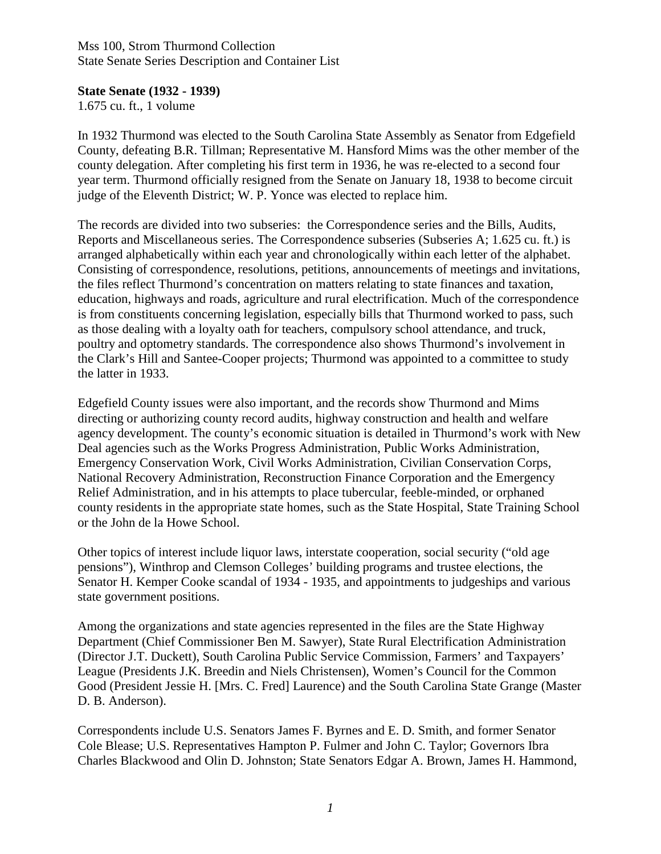Mss 100, Strom Thurmond Collection State Senate Series Description and Container List

## **State Senate (1932 - 1939)**

1.675 cu. ft., 1 volume

In 1932 Thurmond was elected to the South Carolina State Assembly as Senator from Edgefield County, defeating B.R. Tillman; Representative M. Hansford Mims was the other member of the county delegation. After completing his first term in 1936, he was re-elected to a second four year term. Thurmond officially resigned from the Senate on January 18, 1938 to become circuit judge of the Eleventh District; W. P. Yonce was elected to replace him.

The records are divided into two subseries: the Correspondence series and the Bills, Audits, Reports and Miscellaneous series. The Correspondence subseries (Subseries A; 1.625 cu. ft.) is arranged alphabetically within each year and chronologically within each letter of the alphabet. Consisting of correspondence, resolutions, petitions, announcements of meetings and invitations, the files reflect Thurmond's concentration on matters relating to state finances and taxation, education, highways and roads, agriculture and rural electrification. Much of the correspondence is from constituents concerning legislation, especially bills that Thurmond worked to pass, such as those dealing with a loyalty oath for teachers, compulsory school attendance, and truck, poultry and optometry standards. The correspondence also shows Thurmond's involvement in the Clark's Hill and Santee-Cooper projects; Thurmond was appointed to a committee to study the latter in 1933.

Edgefield County issues were also important, and the records show Thurmond and Mims directing or authorizing county record audits, highway construction and health and welfare agency development. The county's economic situation is detailed in Thurmond's work with New Deal agencies such as the Works Progress Administration, Public Works Administration, Emergency Conservation Work, Civil Works Administration, Civilian Conservation Corps, National Recovery Administration, Reconstruction Finance Corporation and the Emergency Relief Administration, and in his attempts to place tubercular, feeble-minded, or orphaned county residents in the appropriate state homes, such as the State Hospital, State Training School or the John de la Howe School.

Other topics of interest include liquor laws, interstate cooperation, social security ("old age pensions"), Winthrop and Clemson Colleges' building programs and trustee elections, the Senator H. Kemper Cooke scandal of 1934 - 1935, and appointments to judgeships and various state government positions.

Among the organizations and state agencies represented in the files are the State Highway Department (Chief Commissioner Ben M. Sawyer), State Rural Electrification Administration (Director J.T. Duckett), South Carolina Public Service Commission, Farmers' and Taxpayers' League (Presidents J.K. Breedin and Niels Christensen), Women's Council for the Common Good (President Jessie H. [Mrs. C. Fred] Laurence) and the South Carolina State Grange (Master D. B. Anderson).

Correspondents include U.S. Senators James F. Byrnes and E. D. Smith, and former Senator Cole Blease; U.S. Representatives Hampton P. Fulmer and John C. Taylor; Governors Ibra Charles Blackwood and Olin D. Johnston; State Senators Edgar A. Brown, James H. Hammond,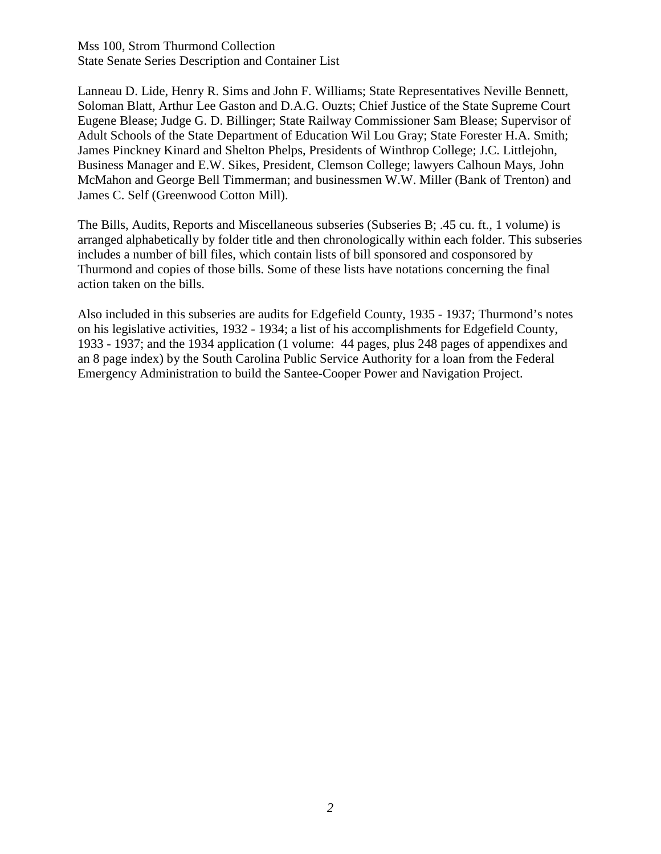Mss 100, Strom Thurmond Collection State Senate Series Description and Container List

Lanneau D. Lide, Henry R. Sims and John F. Williams; State Representatives Neville Bennett, Soloman Blatt, Arthur Lee Gaston and D.A.G. Ouzts; Chief Justice of the State Supreme Court Eugene Blease; Judge G. D. Billinger; State Railway Commissioner Sam Blease; Supervisor of Adult Schools of the State Department of Education Wil Lou Gray; State Forester H.A. Smith; James Pinckney Kinard and Shelton Phelps, Presidents of Winthrop College; J.C. Littlejohn, Business Manager and E.W. Sikes, President, Clemson College; lawyers Calhoun Mays, John McMahon and George Bell Timmerman; and businessmen W.W. Miller (Bank of Trenton) and James C. Self (Greenwood Cotton Mill).

The Bills, Audits, Reports and Miscellaneous subseries (Subseries B; .45 cu. ft., 1 volume) is arranged alphabetically by folder title and then chronologically within each folder. This subseries includes a number of bill files, which contain lists of bill sponsored and cosponsored by Thurmond and copies of those bills. Some of these lists have notations concerning the final action taken on the bills.

Also included in this subseries are audits for Edgefield County, 1935 - 1937; Thurmond's notes on his legislative activities, 1932 - 1934; a list of his accomplishments for Edgefield County, 1933 - 1937; and the 1934 application (1 volume: 44 pages, plus 248 pages of appendixes and an 8 page index) by the South Carolina Public Service Authority for a loan from the Federal Emergency Administration to build the Santee-Cooper Power and Navigation Project.